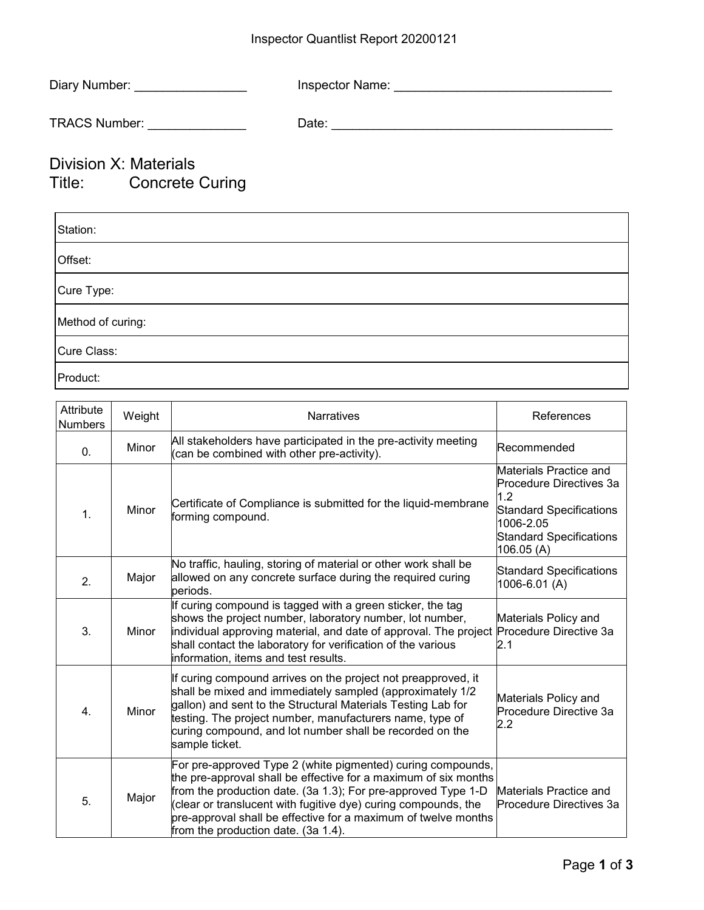## Inspector Quantlist Report 20200121

| Diary Number: __________________                |  |
|-------------------------------------------------|--|
| TRACS Number: _______________                   |  |
| Division X: Materials<br>Title: Concrete Curing |  |
| Station:                                        |  |
| Offset:                                         |  |
| Cure Type:                                      |  |
| Method of curing:                               |  |
| Cure Class:                                     |  |

Product:

| .                |  |
|------------------|--|
|                  |  |
| <b>Attribute</b> |  |

| Attribute<br><b>Numbers</b> | Weight | <b>Narratives</b>                                                                                                                                                                                                                                                                                                                                                          | References                                                                                                                                             |
|-----------------------------|--------|----------------------------------------------------------------------------------------------------------------------------------------------------------------------------------------------------------------------------------------------------------------------------------------------------------------------------------------------------------------------------|--------------------------------------------------------------------------------------------------------------------------------------------------------|
| 0.                          | Minor  | All stakeholders have participated in the pre-activity meeting<br>(can be combined with other pre-activity).                                                                                                                                                                                                                                                               | Recommended                                                                                                                                            |
| 1.                          | Minor  | Certificate of Compliance is submitted for the liquid-membrane<br>forming compound.                                                                                                                                                                                                                                                                                        | Materials Practice and<br>Procedure Directives 3a<br>1.2<br><b>Standard Specifications</b><br>1006-2.05<br><b>Standard Specifications</b><br>106.05(A) |
| 2.                          | Major  | No traffic, hauling, storing of material or other work shall be<br>allowed on any concrete surface during the required curing<br>lperiods.                                                                                                                                                                                                                                 | <b>Standard Specifications</b><br>1006-6.01 (A)                                                                                                        |
| 3.                          | Minor  | If curing compound is tagged with a green sticker, the tag<br>shows the project number, laboratory number, lot number,<br>individual approving material, and date of approval. The project Procedure Directive 3a<br>shall contact the laboratory for verification of the various<br>information, items and test results.                                                  | Materials Policy and<br>2.1                                                                                                                            |
| 4.                          | Minor  | If curing compound arrives on the project not preapproved, it<br>shall be mixed and immediately sampled (approximately 1/2<br>gallon) and sent to the Structural Materials Testing Lab for<br>testing. The project number, manufacturers name, type of<br>curing compound, and lot number shall be recorded on the<br>sample ticket.                                       | Materials Policy and<br>Procedure Directive 3a<br>$2.2\,$                                                                                              |
| 5.                          | Major  | For pre-approved Type 2 (white pigmented) curing compounds,<br>the pre-approval shall be effective for a maximum of six months<br>from the production date. (3a 1.3); For pre-approved Type 1-D<br>(clear or translucent with fugitive dye) curing compounds, the<br>pre-approval shall be effective for a maximum of twelve months<br>from the production date. (3a 1.4). | Materials Practice and<br>Procedure Directives 3a                                                                                                      |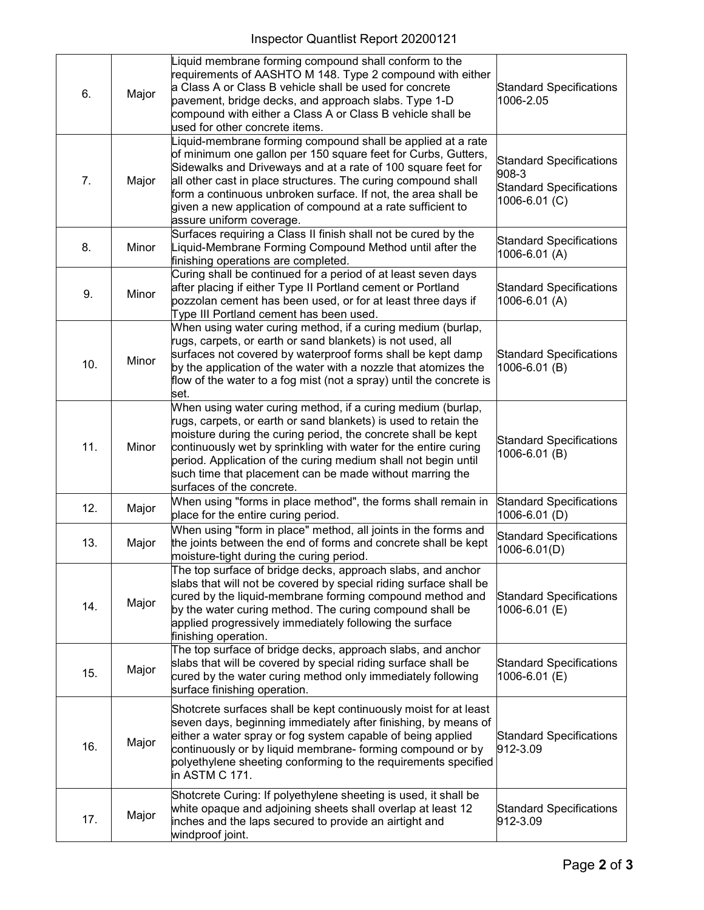| 6.  | Major | Liquid membrane forming compound shall conform to the<br>requirements of AASHTO M 148. Type 2 compound with either<br>a Class A or Class B vehicle shall be used for concrete<br>pavement, bridge decks, and approach slabs. Type 1-D<br>compound with either a Class A or Class B vehicle shall be<br>used for other concrete items.                                                                                         | <b>Standard Specifications</b><br>1006-2.05                                                |
|-----|-------|-------------------------------------------------------------------------------------------------------------------------------------------------------------------------------------------------------------------------------------------------------------------------------------------------------------------------------------------------------------------------------------------------------------------------------|--------------------------------------------------------------------------------------------|
| 7.  | Major | Liquid-membrane forming compound shall be applied at a rate<br>of minimum one gallon per 150 square feet for Curbs, Gutters,<br>Sidewalks and Driveways and at a rate of 100 square feet for<br>all other cast in place structures. The curing compound shall<br>form a continuous unbroken surface. If not, the area shall be<br>given a new application of compound at a rate sufficient to<br>assure uniform coverage.     | <b>Standard Specifications</b><br>908-3<br><b>Standard Specifications</b><br>1006-6.01 (C) |
| 8.  | Minor | Surfaces requiring a Class II finish shall not be cured by the<br>Liquid-Membrane Forming Compound Method until after the<br>finishing operations are completed.                                                                                                                                                                                                                                                              | <b>Standard Specifications</b><br>1006-6.01 (A)                                            |
| 9.  | Minor | Curing shall be continued for a period of at least seven days<br>after placing if either Type II Portland cement or Portland<br>pozzolan cement has been used, or for at least three days if<br>Type III Portland cement has been used.                                                                                                                                                                                       | <b>Standard Specifications</b><br>1006-6.01 (A)                                            |
| 10. | Minor | When using water curing method, if a curing medium (burlap,<br>rugs, carpets, or earth or sand blankets) is not used, all<br>surfaces not covered by waterproof forms shall be kept damp<br>by the application of the water with a nozzle that atomizes the<br>flow of the water to a fog mist (not a spray) until the concrete is<br>set.                                                                                    | <b>Standard Specifications</b><br>1006-6.01 (B)                                            |
| 11. | Minor | When using water curing method, if a curing medium (burlap,<br>rugs, carpets, or earth or sand blankets) is used to retain the<br>moisture during the curing period, the concrete shall be kept<br>continuously wet by sprinkling with water for the entire curing<br>period. Application of the curing medium shall not begin until<br>such time that placement can be made without marring the<br>surfaces of the concrete. | <b>Standard Specifications</b><br>1006-6.01 (B)                                            |
| 12. | Major | When using "forms in place method", the forms shall remain in<br>place for the entire curing period.                                                                                                                                                                                                                                                                                                                          | <b>Standard Specifications</b><br>1006-6.01 (D)                                            |
| 13. | Major | When using "form in place" method, all joints in the forms and<br>the joints between the end of forms and concrete shall be kept<br>moisture-tight during the curing period.                                                                                                                                                                                                                                                  | <b>Standard Specifications</b><br>1006-6.01(D)                                             |
| 14. | Major | The top surface of bridge decks, approach slabs, and anchor<br>slabs that will not be covered by special riding surface shall be<br>cured by the liquid-membrane forming compound method and<br>by the water curing method. The curing compound shall be<br>applied progressively immediately following the surface<br>finishing operation.                                                                                   | <b>Standard Specifications</b><br>1006-6.01 (E)                                            |
| 15. | Major | The top surface of bridge decks, approach slabs, and anchor<br>slabs that will be covered by special riding surface shall be<br>cured by the water curing method only immediately following<br>surface finishing operation.                                                                                                                                                                                                   | <b>Standard Specifications</b><br>1006-6.01 (E)                                            |
| 16. | Major | Shotcrete surfaces shall be kept continuously moist for at least<br>seven days, beginning immediately after finishing, by means of<br>either a water spray or fog system capable of being applied<br>continuously or by liquid membrane- forming compound or by<br>polyethylene sheeting conforming to the requirements specified<br>in ASTM C 171.                                                                           | <b>Standard Specifications</b><br>912-3.09                                                 |
| 17. | Major | Shotcrete Curing: If polyethylene sheeting is used, it shall be<br>white opaque and adjoining sheets shall overlap at least 12<br>inches and the laps secured to provide an airtight and<br>windproof joint.                                                                                                                                                                                                                  | <b>Standard Specifications</b><br>912-3.09                                                 |